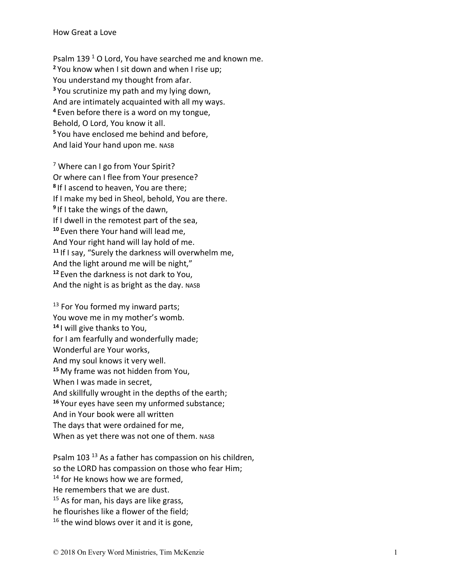Psalm 139<sup>1</sup> O Lord, You have searched me and known me. **<sup>2</sup>** You know when I sit down and when I rise up; You understand my thought from afar. **<sup>3</sup>** You scrutinize my path and my lying down, And are intimately acquainted with all my ways. **<sup>4</sup>** Even before there is a word on my tongue, Behold, O Lord, You know it all. **<sup>5</sup>** You have enclosed me behind and before, And laid Your hand upon me. NASB

<sup>7</sup> Where can I go from Your Spirit? Or where can I flee from Your presence? **<sup>8</sup>** If I ascend to heaven, You are there; If I make my bed in Sheol, behold, You are there. **<sup>9</sup>** If I take the wings of the dawn, If I dwell in the remotest part of the sea, **<sup>10</sup>** Even there Your hand will lead me, And Your right hand will lay hold of me. **<sup>11</sup>** If I say, "Surely the darkness will overwhelm me, And the light around me will be night," **<sup>12</sup>** Even the darkness is not dark to You, And the night is as bright as the day. NASB

<sup>13</sup> For You formed my inward parts; You wove me in my mother's womb. **<sup>14</sup>** I will give thanks to You, for I am fearfully and wonderfully made; Wonderful are Your works, And my soul knows it very well. **<sup>15</sup>** My frame was not hidden from You, When I was made in secret, And skillfully wrought in the depths of the earth; **<sup>16</sup>** Your eyes have seen my unformed substance; And in Your book were all written The days that were ordained for me , When as yet there was not one of them. NASB

Psalm 103<sup>13</sup> As a father has compassion on his children, so the LORD has compassion on those who fear Him; <sup>14</sup> for He knows how we are formed, He remembers that we are dust. <sup>15</sup> As for man, his days are like grass, he flourishes like a flower of the field;  $16$  the wind blows over it and it is gone,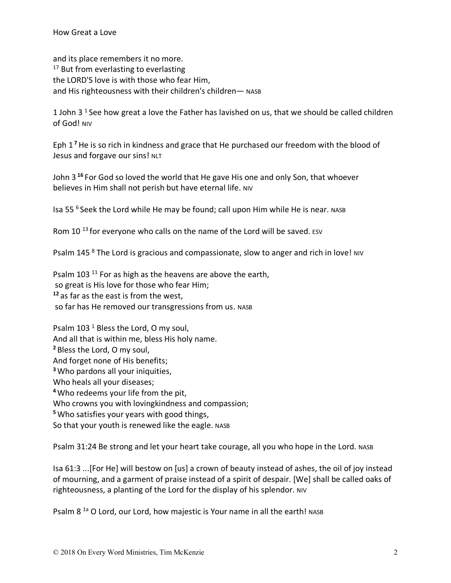and its place remembers it no more. <sup>17</sup> But from everlasting to everlasting the LORD'S love is with those who fear Him, and His righteousness with their children's children— NASB

1 John 3<sup>1</sup> See how great a love the Father has lavished on us, that we should be called children of God! NIV

Eph 1 **<sup>7</sup>** He is so rich in kindness and grace that He purchased our freedom with the blood of Jesus and forgave our sins! NLT

John 3 **<sup>16</sup>**For God so loved the world that He gave His one and only Son, that whoever believes in Him shall not perish but have eternal life. NIV

Isa 55 6 Seek the Lord while He may be found; call upon Him while He is near. NASB

Rom 10<sup>13</sup> for everyone who calls on the name of the Lord will be saved. ESV

Psalm 145<sup>8</sup> The Lord is gracious and compassionate, slow to anger and rich in love! NIV

Psalm 103<sup>11</sup> For as high as the heavens are above the earth, so great is His love for those who fear Him; **<sup>12</sup>** as far as the east is from the west, so far has He removed our transgressions from us. NASB

Psalm 103<sup>1</sup> Bless the Lord, O my soul, And all that is within me, bless His holy name. **<sup>2</sup>** Bless the Lord, O my soul, And forget none of His benefits; **<sup>3</sup>**Who pardons all your iniquities, Who heals all your diseases; **<sup>4</sup>**Who redeems your life from the pit, Who crowns you with lovingkindness and compassion; **<sup>5</sup>**Who satisfies your years with good things, So that your youth is renewed like the eagle. NASB

Psalm 31:24 Be strong and let your heart take courage, all you who hope in the Lord. NASB

Isa 61:3 ...[For He] will bestow on [us] a crown of beauty instead of ashes, the oil of joy instead of mourning, and a garment of praise instead of a spirit of despair. [We] shall be called oaks of righteousness, a planting of the Lord for the display of his splendor. NIV

Psalm 8<sup>1a</sup> O Lord, our Lord, how majestic is Your name in all the earth! NASB